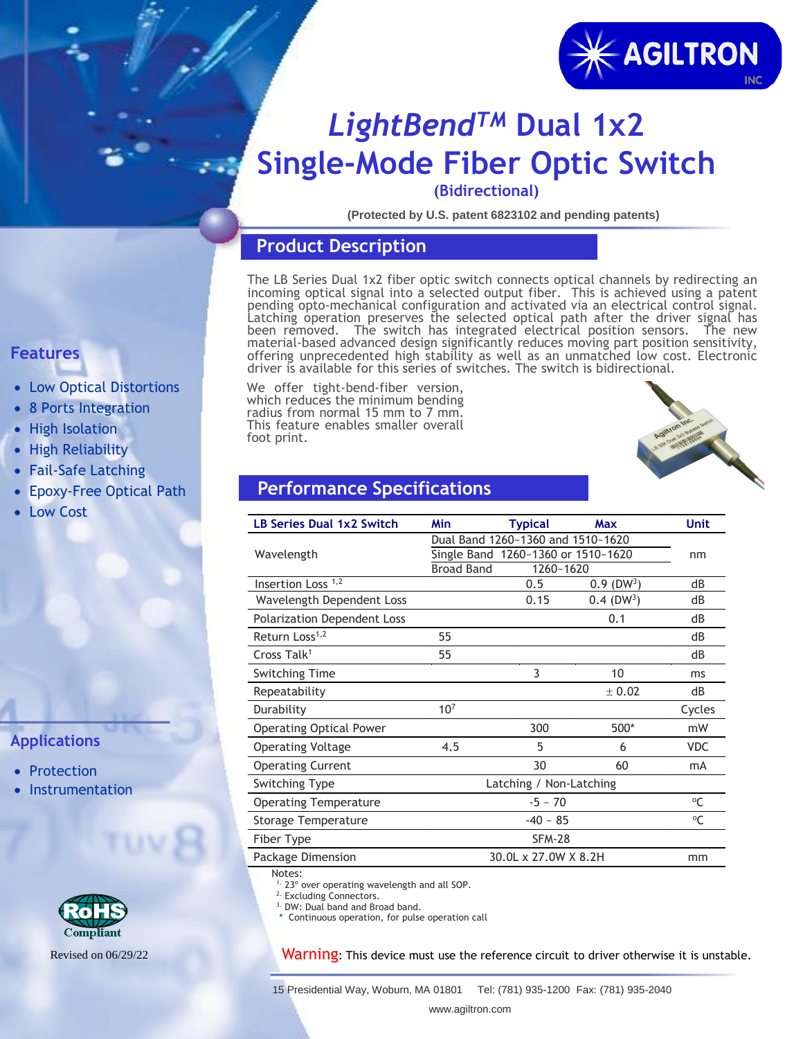

## *LightBendTM* **Dual 1x2 Single-Mode Fiber Optic Switch**

**(Bidirectional)**

**(Protected by U.S. patent 6823102 and pending patents)**

#### **Product Description**

The LB Series Dual 1x2 fiber optic switch connects optical channels by redirecting an incoming optical signal into a selected output fiber. This is achieved using a patent pending opto-mechanical configuration and activated via an electrical control signal. Latching operation preserves the selected optical path after the driver signal has been removed. The switch has integrated electrical position sensors. The new material-based advanced design significantly reduces moving part position sensitivity, offering unprecedented high stability as well as an unmatched low cost. Electronic driver is available for this series of switches. The switch is bidirectional.

We offer tight-bend-fiber version, which reduces the minimum bending radius from normal 15 mm to 7 mm. This feature enables smaller overall foot print.



### **Performance Specifications**

| <b>LB Series Dual 1x2 Switch</b>   | Min                                | <b>Typical</b>       | Max                      | <b>Unit</b> |
|------------------------------------|------------------------------------|----------------------|--------------------------|-------------|
|                                    | Dual Band 1260~1360 and 1510~1620  |                      |                          |             |
| Wavelength                         | Single Band 1260~1360 or 1510~1620 | nm                   |                          |             |
|                                    | <b>Broad Band</b>                  | 1260~1620            |                          |             |
| Insertion Loss <sup>1,2</sup>      |                                    | 0.5                  | $0.9$ (DW <sup>3</sup> ) | dB          |
| Wavelength Dependent Loss          |                                    | 0.15                 | $0.4$ (DW <sup>3</sup> ) | dB          |
| <b>Polarization Dependent Loss</b> |                                    |                      | 0.1                      | dB          |
| Return Loss <sup>1,2</sup>         | 55                                 |                      |                          | dB          |
| Cross Talk <sup>1</sup>            | 55                                 |                      |                          | dB          |
| <b>Switching Time</b>              |                                    | 3                    | 10                       | ms          |
| Repeatability                      |                                    |                      | ± 0.02                   | dB          |
| Durability                         | $10^{7}$                           |                      |                          | Cycles      |
| <b>Operating Optical Power</b>     |                                    | 300                  | 500*                     | mW          |
| <b>Operating Voltage</b>           | 4.5                                | 5                    | 6                        | <b>VDC</b>  |
| <b>Operating Current</b>           |                                    | 30                   | 60                       | mA          |
| <b>Switching Type</b>              |                                    |                      |                          |             |
| <b>Operating Temperature</b>       |                                    | $-5 - 70$            |                          | $^{\circ}C$ |
| Storage Temperature                |                                    | $-40 - 85$           |                          | $\circ$ C   |
| Fiber Type                         |                                    | <b>SFM-28</b>        |                          |             |
| Package Dimension                  |                                    | 30.0L x 27.0W X 8.2H |                          | mm          |
| Notes:                             |                                    |                      |                          |             |

1. 23º over operating wavelength and all SOP.

<sup>2.</sup> Excluding Connectors.

3. DW: Dual band and Broad band.

\* Continuous operation, for pulse operation call

Warning: This device must use the reference circuit to driver otherwise it is unstable.

## **Features**

- Low Optical Distortions
- 8 Ports Integration
- High Isolation
- High Reliability
- Fail-Safe Latching
- Epoxy-Free Optical Path
- Low Cost

## **Applications**

- Protection
- **Instrumentation**



Revised on 06/29/22

15 Presidential Way, Woburn, MA 01801 Tel: (781) 935-1200 Fax: (781) 935-2040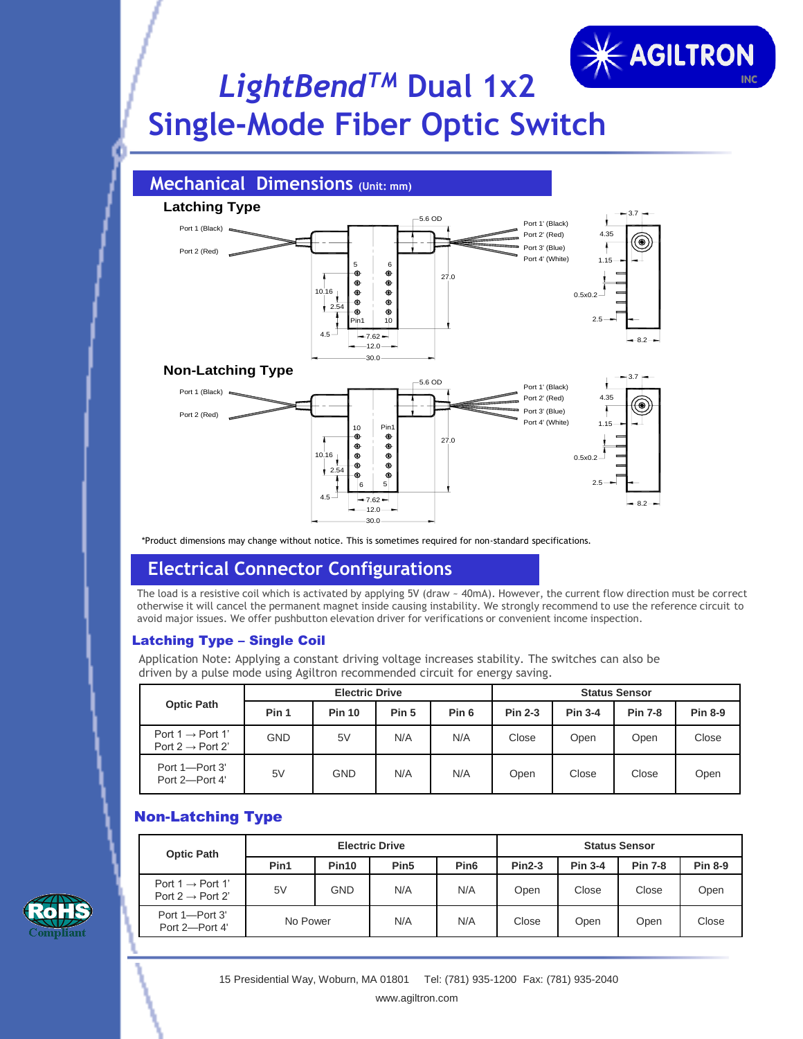# **KAGILTRON** *LightBendTM* **Dual 1x2 Single-Mode Fiber Optic Switch**



\*Product dimensions may change without notice. This is sometimes required for non-standard specifications.

### **Electrical Connector Configurations**

The load is a resistive coil which is activated by applying 5V (draw ~ 40mA). However, the current flow direction must be correct otherwise it will cancel the permanent magnet inside causing instability. We strongly recommend to use the reference circuit to avoid major issues. We offer pushbutton elevation driver for verifications or convenient income inspection.

#### Latching Type – Single Coil

Application Note: Applying a constant driving voltage increases stability. The switches can also be driven by a pulse mode using Agiltron recommended circuit for energy saving.

| <b>Optic Path</b>                                            | <b>Electric Drive</b> |               |       |                  | <b>Status Sensor</b> |                |                |                |
|--------------------------------------------------------------|-----------------------|---------------|-------|------------------|----------------------|----------------|----------------|----------------|
|                                                              | Pin 1                 | <b>Pin 10</b> | Pin 5 | Pin <sub>6</sub> | <b>Pin 2-3</b>       | <b>Pin 3-4</b> | <b>Pin 7-8</b> | <b>Pin 8-9</b> |
| Port 1 $\rightarrow$ Port 1'<br>Port 2 $\rightarrow$ Port 2' | GND                   | 5V            | N/A   | N/A              | Close                | Open           | Open           | Close          |
| Port 1-Port 3'<br>Port 2-Port 4'                             | 5V                    | GND           | N/A   | N/A              | Open                 | Close          | Close          | Open           |

### Non-Latching Type

| <b>Optic Path</b>                                            | <b>Electric Drive</b> |                   |                  |                  | <b>Status Sensor</b> |                |                |                |
|--------------------------------------------------------------|-----------------------|-------------------|------------------|------------------|----------------------|----------------|----------------|----------------|
|                                                              | Pin1                  | Pin <sub>10</sub> | Pin <sub>5</sub> | Pin <sub>6</sub> | $Pin2-3$             | <b>Pin 3-4</b> | <b>Pin 7-8</b> | <b>Pin 8-9</b> |
| Port $1 \rightarrow$ Port 1'<br>Port 2 $\rightarrow$ Port 2' | 5V                    | GND               | N/A              | N/A              | Open                 | Close          | Close          | Open           |
| Port 1-Port 3'<br>Port 2-Port 4'                             | No Power              |                   | N/A              | N/A              | Close                | Open           | Open           | Close          |

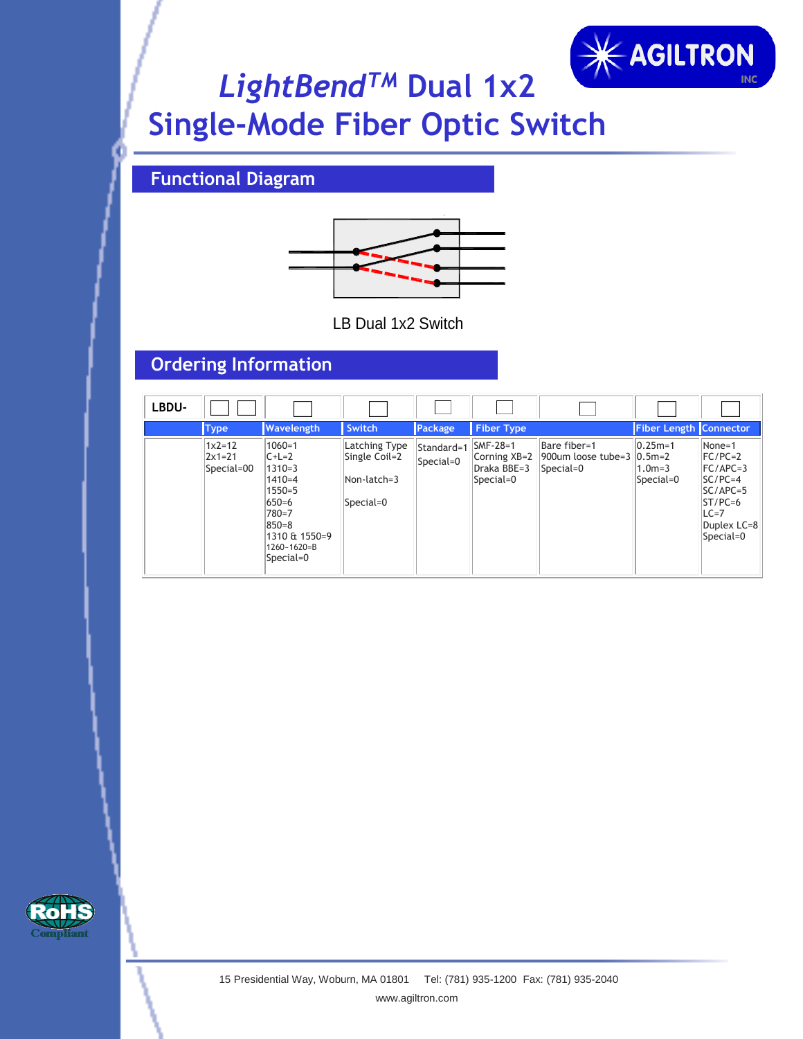

# *LightBendTM* **Dual 1x2 Single-Mode Fiber Optic Switch**

## **Functional Diagram**



LB Dual 1x2 Switch

## **Ordering Information**

| LBDU- |                                    |                                                                                                                                                 |                                                            |                         |                                                         |                                                        |                                       |                                                                                                                 |
|-------|------------------------------------|-------------------------------------------------------------------------------------------------------------------------------------------------|------------------------------------------------------------|-------------------------|---------------------------------------------------------|--------------------------------------------------------|---------------------------------------|-----------------------------------------------------------------------------------------------------------------|
|       | <b>Type</b>                        | Wavelength                                                                                                                                      | Switch                                                     | Package                 | <b>Fiber Type</b>                                       |                                                        | Fiber Length Connector                |                                                                                                                 |
|       | $1x2=12$<br>$2x1=21$<br>Special=00 | $1060 = 1$<br>$C+L=2$<br>$1310=3$<br>$1410 = 4$<br>$1550 = 5$<br>650=6<br>780=7<br>$850 = 8$<br>1310 & 1550=9<br>$1260 - 1620 = B$<br>Special=0 | Latching Type<br>Single Coil=2<br>Non-latch=3<br>Special=0 | Standard=1<br>Special=0 | $ SMF-28=1$<br>Corning XB=2<br>Draka BBE=3<br>Special=0 | Bare fiber=1<br>900um loose tube=3 0.5m=2<br>Special=0 | $ 0.25m=1$<br>$1.0m = 3$<br>Special=0 | None=1<br>$FC/PC=2$<br>$FC/APC=3$<br>$SC/PC=4$<br>$SC/APC=5$<br>$ST/PC=6$<br>$LC=7$<br>Duplex LC=8<br>Special=0 |